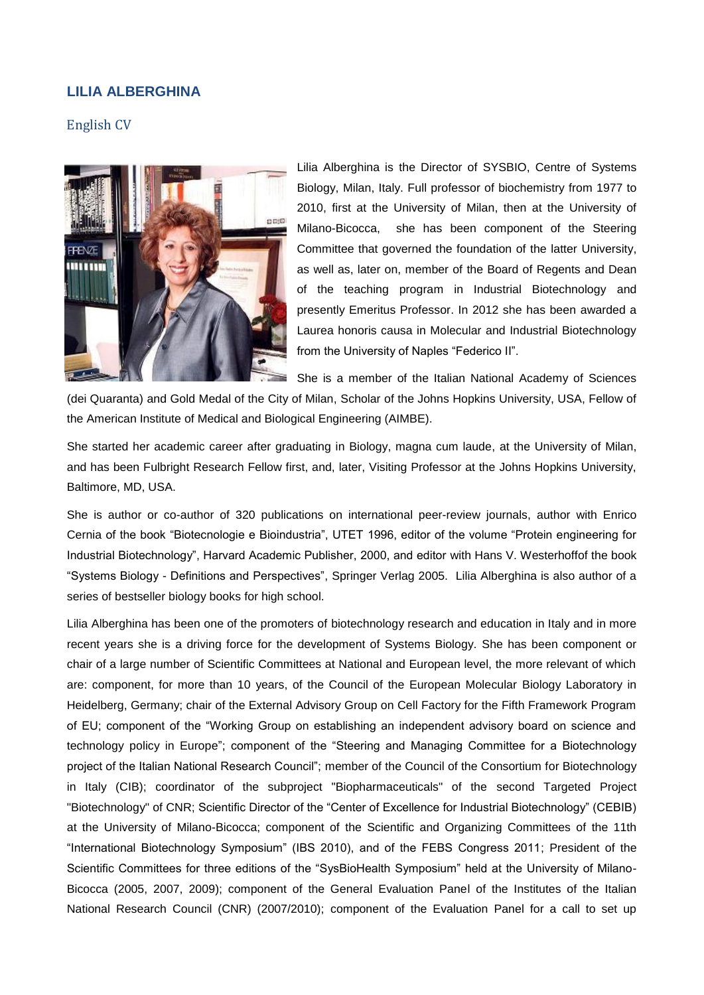# **LILIA ALBERGHINA**

# English CV



Lilia Alberghina is the Director of SYSBIO, Centre of Systems Biology, Milan, Italy. Full professor of biochemistry from 1977 to 2010, first at the University of Milan, then at the University of Milano-Bicocca, she has been component of the Steering Committee that governed the foundation of the latter University, as well as, later on, member of the Board of Regents and Dean of the teaching program in Industrial Biotechnology and presently Emeritus Professor. In 2012 she has been awarded a Laurea honoris causa in Molecular and Industrial Biotechnology from the University of Naples "Federico II".

She is a member of the Italian National Academy of Sciences

(dei Quaranta) and Gold Medal of the City of Milan, Scholar of the Johns Hopkins University, USA, Fellow of the American Institute of Medical and Biological Engineering (AIMBE).

She started her academic career after graduating in Biology, magna cum laude, at the University of Milan, and has been Fulbright Research Fellow first, and, later, Visiting Professor at the Johns Hopkins University, Baltimore, MD, USA.

She is author or co-author of 320 publications on international peer-review journals, author with Enrico Cernia of the book "Biotecnologie e Bioindustria", UTET 1996, editor of the volume "Protein engineering for Industrial Biotechnology", Harvard Academic Publisher, 2000, and editor with Hans V. Westerhoffof the book "Systems Biology - Definitions and Perspectives", Springer Verlag 2005. Lilia Alberghina is also author of a series of bestseller biology books for high school.

Lilia Alberghina has been one of the promoters of biotechnology research and education in Italy and in more recent years she is a driving force for the development of Systems Biology. She has been component or chair of a large number of Scientific Committees at National and European level, the more relevant of which are: component, for more than 10 years, of the Council of the European Molecular Biology Laboratory in Heidelberg, Germany; chair of the External Advisory Group on Cell Factory for the Fifth Framework Program of EU; component of the "Working Group on establishing an independent advisory board on science and technology policy in Europe"; component of the "Steering and Managing Committee for a Biotechnology project of the Italian National Research Council"; member of the Council of the Consortium for Biotechnology in Italy (CIB); coordinator of the subproject "Biopharmaceuticals" of the second Targeted Project "Biotechnology" of CNR; Scientific Director of the "Center of Excellence for Industrial Biotechnology" (CEBIB) at the University of Milano-Bicocca; component of the Scientific and Organizing Committees of the 11th "International Biotechnology Symposium" (IBS 2010), and of the FEBS Congress 2011; President of the Scientific Committees for three editions of the "SysBioHealth Symposium" held at the University of Milano-Bicocca (2005, 2007, 2009); component of the General Evaluation Panel of the Institutes of the Italian National Research Council (CNR) (2007/2010); component of the Evaluation Panel for a call to set up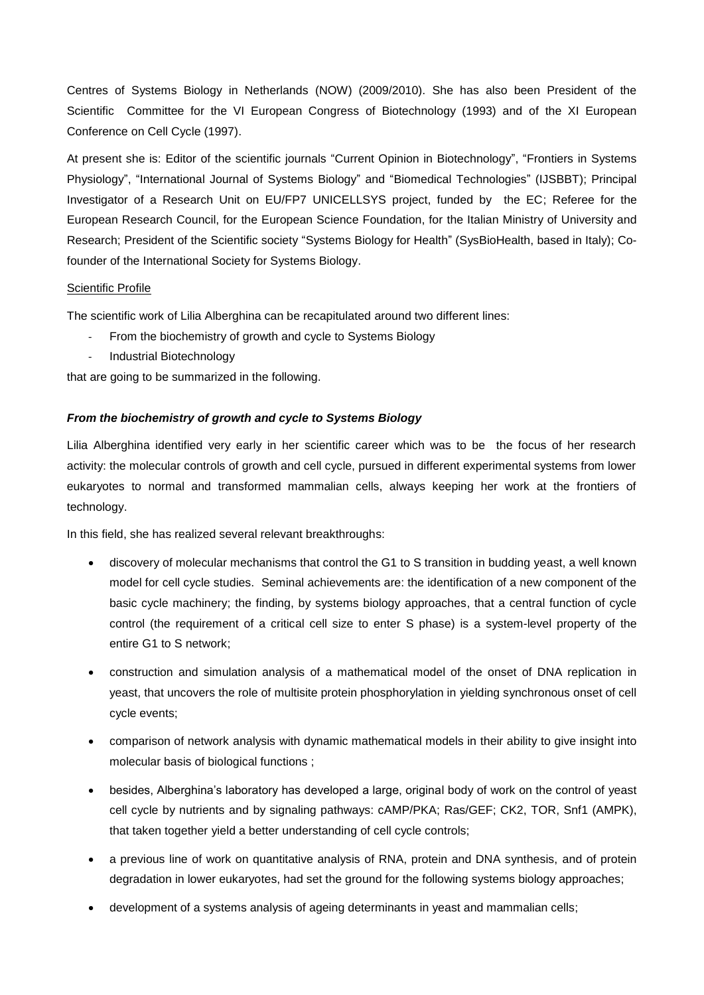Centres of Systems Biology in Netherlands (NOW) (2009/2010). She has also been President of the Scientific Committee for the VI European Congress of Biotechnology (1993) and of the XI European Conference on Cell Cycle (1997).

At present she is: Editor of the scientific journals "Current Opinion in Biotechnology", "Frontiers in Systems Physiology", "International Journal of Systems Biology" and "Biomedical Technologies" (IJSBBT); Principal Investigator of a Research Unit on EU/FP7 UNICELLSYS project, funded by the EC; Referee for the European Research Council, for the European Science Foundation, for the Italian Ministry of University and Research; President of the Scientific society "Systems Biology for Health" (SysBioHealth, based in Italy); Cofounder of the International Society for Systems Biology.

## Scientific Profile

The scientific work of Lilia Alberghina can be recapitulated around two different lines:

- From the biochemistry of growth and cycle to Systems Biology
- Industrial Biotechnology

that are going to be summarized in the following.

## *From the biochemistry of growth and cycle to Systems Biology*

Lilia Alberghina identified very early in her scientific career which was to be the focus of her research activity: the molecular controls of growth and cell cycle, pursued in different experimental systems from lower eukaryotes to normal and transformed mammalian cells, always keeping her work at the frontiers of technology.

In this field, she has realized several relevant breakthroughs:

- discovery of molecular mechanisms that control the G1 to S transition in budding yeast, a well known model for cell cycle studies. Seminal achievements are: the identification of a new component of the basic cycle machinery; the finding, by systems biology approaches, that a central function of cycle control (the requirement of a critical cell size to enter S phase) is a system-level property of the entire G1 to S network;
- construction and simulation analysis of a mathematical model of the onset of DNA replication in yeast, that uncovers the role of multisite protein phosphorylation in yielding synchronous onset of cell cycle events;
- comparison of network analysis with dynamic mathematical models in their ability to give insight into molecular basis of biological functions ;
- besides, Alberghina's laboratory has developed a large, original body of work on the control of yeast cell cycle by nutrients and by signaling pathways: cAMP/PKA; Ras/GEF; CK2, TOR, Snf1 (AMPK), that taken together yield a better understanding of cell cycle controls;
- a previous line of work on quantitative analysis of RNA, protein and DNA synthesis, and of protein degradation in lower eukaryotes, had set the ground for the following systems biology approaches;
- development of a systems analysis of ageing determinants in yeast and mammalian cells;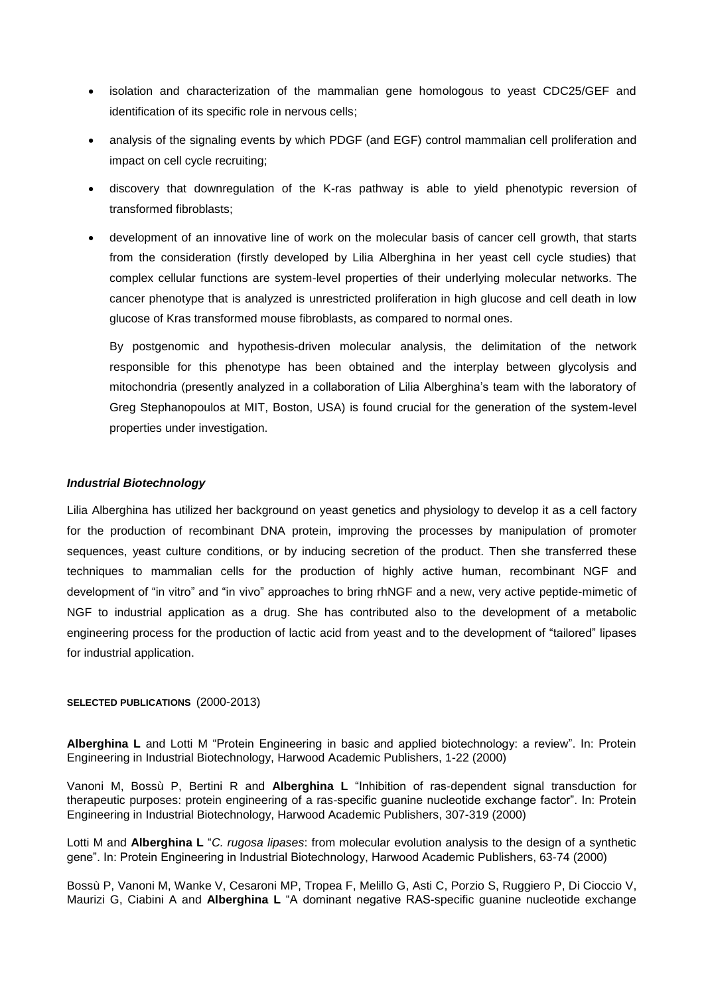- isolation and characterization of the mammalian gene homologous to yeast CDC25/GEF and identification of its specific role in nervous cells;
- analysis of the signaling events by which PDGF (and EGF) control mammalian cell proliferation and impact on cell cycle recruiting;
- discovery that downregulation of the K-ras pathway is able to yield phenotypic reversion of transformed fibroblasts;
- development of an innovative line of work on the molecular basis of cancer cell growth, that starts from the consideration (firstly developed by Lilia Alberghina in her yeast cell cycle studies) that complex cellular functions are system-level properties of their underlying molecular networks. The cancer phenotype that is analyzed is unrestricted proliferation in high glucose and cell death in low glucose of Kras transformed mouse fibroblasts, as compared to normal ones.

By postgenomic and hypothesis-driven molecular analysis, the delimitation of the network responsible for this phenotype has been obtained and the interplay between glycolysis and mitochondria (presently analyzed in a collaboration of Lilia Alberghina's team with the laboratory of Greg Stephanopoulos at MIT, Boston, USA) is found crucial for the generation of the system-level properties under investigation.

### *Industrial Biotechnology*

Lilia Alberghina has utilized her background on yeast genetics and physiology to develop it as a cell factory for the production of recombinant DNA protein, improving the processes by manipulation of promoter sequences, yeast culture conditions, or by inducing secretion of the product. Then she transferred these techniques to mammalian cells for the production of highly active human, recombinant NGF and development of "in vitro" and "in vivo" approaches to bring rhNGF and a new, very active peptide-mimetic of NGF to industrial application as a drug. She has contributed also to the development of a metabolic engineering process for the production of lactic acid from yeast and to the development of "tailored" lipases for industrial application.

### **SELECTED PUBLICATIONS** (2000-2013)

**Alberghina L** and Lotti M "Protein Engineering in basic and applied biotechnology: a review". In: Protein Engineering in Industrial Biotechnology, Harwood Academic Publishers, 1-22 (2000)

Vanoni M, Bossù P, Bertini R and **Alberghina L** "Inhibition of ras-dependent signal transduction for therapeutic purposes: protein engineering of a ras-specific guanine nucleotide exchange factor". In: Protein Engineering in Industrial Biotechnology, Harwood Academic Publishers, 307-319 (2000)

Lotti M and **Alberghina L** "*C. rugosa lipases*: from molecular evolution analysis to the design of a synthetic gene". In: Protein Engineering in Industrial Biotechnology, Harwood Academic Publishers, 63-74 (2000)

Bossù P, Vanoni M, Wanke V, Cesaroni MP, Tropea F, Melillo G, Asti C, Porzio S, Ruggiero P, Di Cioccio V, Maurizi G, Ciabini A and **Alberghina L** "A dominant negative RAS-specific guanine nucleotide exchange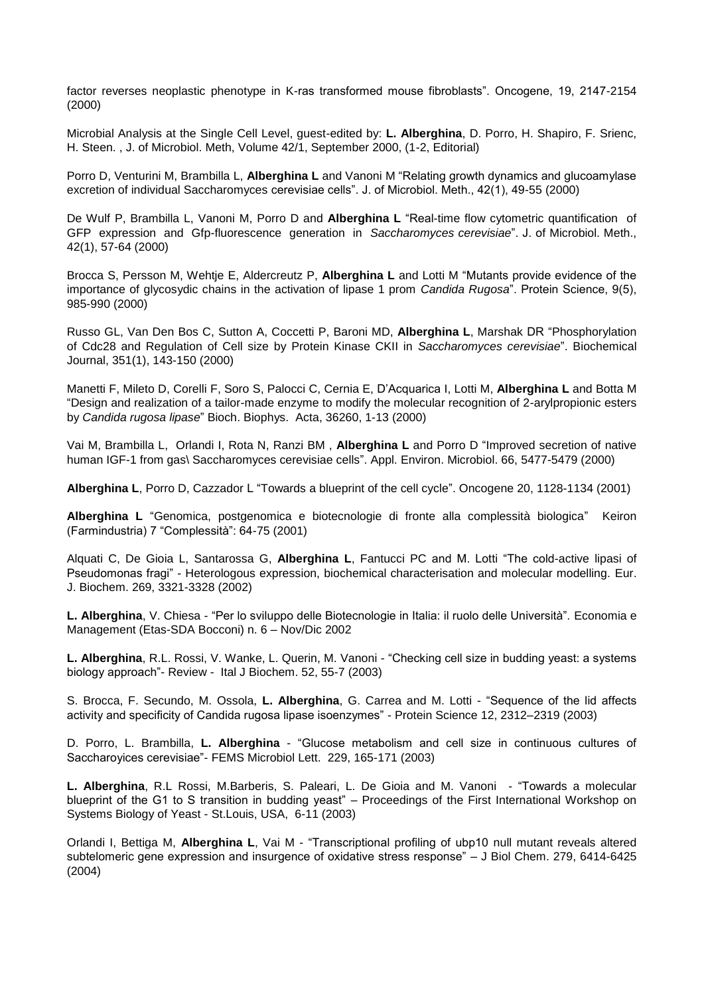factor reverses neoplastic phenotype in K-ras transformed mouse fibroblasts". Oncogene, 19, 2147-2154 (2000)

Microbial Analysis at the Single Cell Level, guest-edited by: **L. Alberghina**, D. Porro, H. Shapiro, F. Srienc, H. Steen. , J. of Microbiol. Meth, Volume 42/1, September 2000, (1-2, Editorial)

Porro D, Venturini M, Brambilla L, **Alberghina L** and Vanoni M "Relating growth dynamics and glucoamylase excretion of individual Saccharomyces cerevisiae cells". J. of Microbiol. Meth., 42(1), 49-55 (2000)

De Wulf P, Brambilla L, Vanoni M, Porro D and **Alberghina L** "Real-time flow cytometric quantification of GFP expression and Gfp-fluorescence generation in *Saccharomyces cerevisiae*". J. of Microbiol. Meth., 42(1), 57-64 (2000)

Brocca S, Persson M, Wehtje E, Aldercreutz P, **Alberghina L** and Lotti M "Mutants provide evidence of the importance of glycosydic chains in the activation of lipase 1 prom *Candida Rugosa*". Protein Science, 9(5), 985-990 (2000)

Russo GL, Van Den Bos C, Sutton A, Coccetti P, Baroni MD, **Alberghina L**, Marshak DR "Phosphorylation of Cdc28 and Regulation of Cell size by Protein Kinase CKII in *Saccharomyces cerevisiae*". Biochemical Journal, 351(1), 143-150 (2000)

Manetti F, Mileto D, Corelli F, Soro S, Palocci C, Cernia E, D'Acquarica I, Lotti M, **Alberghina L** and Botta M "Design and realization of a tailor-made enzyme to modify the molecular recognition of 2-arylpropionic esters by *Candida rugosa lipase*" Bioch. Biophys. Acta, 36260, 1-13 (2000)

Vai M, Brambilla L, Orlandi I, Rota N, Ranzi BM , **Alberghina L** and Porro D "Improved secretion of native human IGF-1 from gas\ Saccharomyces cerevisiae cells". Appl. Environ. Microbiol. 66, 5477-5479 (2000)

**Alberghina L**, Porro D, Cazzador L "Towards a blueprint of the cell cycle". Oncogene 20, 1128-1134 (2001)

**Alberghina L** "Genomica, postgenomica e biotecnologie di fronte alla complessità biologica" Keiron (Farmindustria) 7 "Complessità": 64-75 (2001)

Alquati C, De Gioia L, Santarossa G, **Alberghina L**, Fantucci PC and M. Lotti "The cold-active lipasi of Pseudomonas fragi" - Heterologous expression, biochemical characterisation and molecular modelling. Eur. J. Biochem. 269, 3321-3328 (2002)

**L. Alberghina**, V. Chiesa - "Per lo sviluppo delle Biotecnologie in Italia: il ruolo delle Università". Economia e Management (Etas-SDA Bocconi) n. 6 – Nov/Dic 2002

**L. Alberghina**, R.L. Rossi, V. Wanke, L. Querin, M. Vanoni - "Checking cell size in budding yeast: a systems biology approach"- Review - Ital J Biochem. 52, 55-7 (2003)

S. Brocca, F. Secundo, M. Ossola, **L. Alberghina**, G. Carrea and M. Lotti - "Sequence of the lid affects activity and specificity of Candida rugosa lipase isoenzymes" - Protein Science 12, 2312–2319 (2003)

D. Porro, L. Brambilla, **L. Alberghina** - "Glucose metabolism and cell size in continuous cultures of Saccharoyices cerevisiae"- FEMS Microbiol Lett. 229, 165-171 (2003)

**L. Alberghina**, R.L Rossi, M.Barberis, S. Paleari, L. De Gioia and M. Vanoni - "Towards a molecular blueprint of the G1 to S transition in budding yeast" – Proceedings of the First International Workshop on Systems Biology of Yeast - St.Louis, USA, 6-11 (2003)

Orlandi I, Bettiga M, **Alberghina L**, Vai M - "Transcriptional profiling of ubp10 null mutant reveals altered subtelomeric gene expression and insurgence of oxidative stress response" – J Biol Chem. 279, 6414-6425 (2004)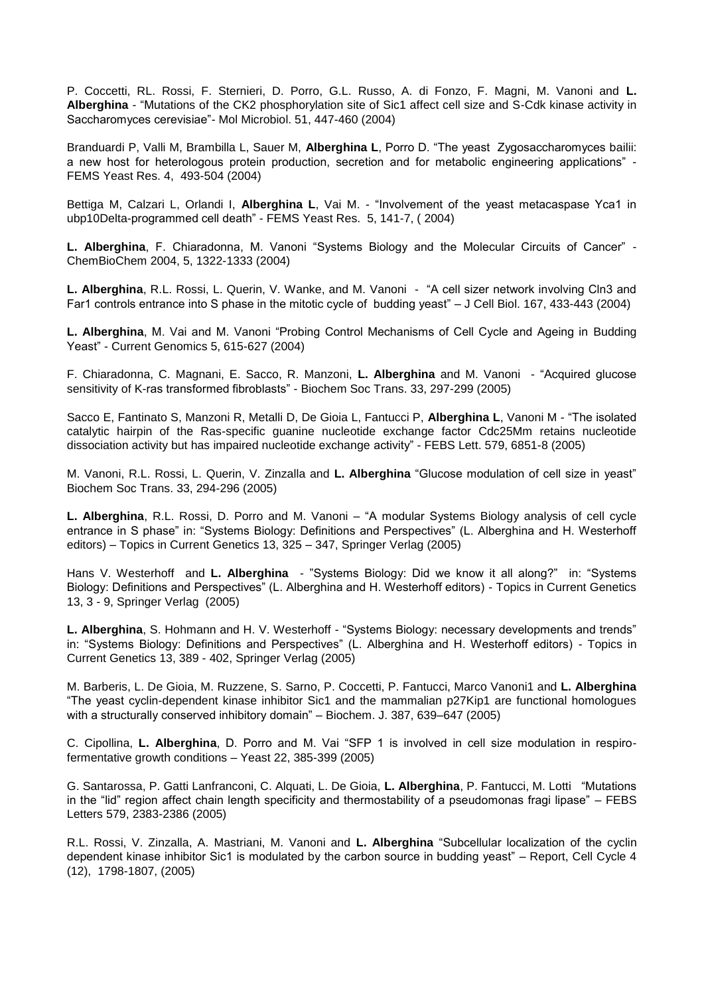P. Coccetti, RL. Rossi, F. Sternieri, D. Porro, G.L. Russo, A. di Fonzo, F. Magni, M. Vanoni and **L. Alberghina** - "Mutations of the CK2 phosphorylation site of Sic1 affect cell size and S-Cdk kinase activity in Saccharomyces cerevisiae"- Mol Microbiol. 51, 447-460 (2004)

Branduardi P, Valli M, Brambilla L, Sauer M, **Alberghina L**, Porro D. "The yeast Zygosaccharomyces bailii: a new host for heterologous protein production, secretion and for metabolic engineering applications" - FEMS Yeast Res. 4, 493-504 (2004)

Bettiga M, Calzari L, Orlandi I, **Alberghina L**, Vai M. - "Involvement of the yeast metacaspase Yca1 in ubp10Delta-programmed cell death" - FEMS Yeast Res. 5, 141-7, ( 2004)

**L. Alberghina**, F. Chiaradonna, M. Vanoni "Systems Biology and the Molecular Circuits of Cancer" - ChemBioChem 2004, 5, 1322-1333 (2004)

**L. Alberghina**, R.L. Rossi, L. Querin, V. Wanke, and M. Vanoni - "A cell sizer network involving Cln3 and Far1 controls entrance into S phase in the mitotic cycle of budding yeast" – J Cell Biol. 167, 433-443 (2004)

**L. Alberghina**, M. Vai and M. Vanoni "Probing Control Mechanisms of Cell Cycle and Ageing in Budding Yeast" - Current Genomics 5, 615-627 (2004)

F. Chiaradonna, C. Magnani, E. Sacco, R. Manzoni, **L. Alberghina** and M. Vanoni - "Acquired glucose sensitivity of K-ras transformed fibroblasts" - Biochem Soc Trans. 33, 297-299 (2005)

Sacco E, Fantinato S, Manzoni R, Metalli D, De Gioia L, Fantucci P, **Alberghina L**, Vanoni M - "The isolated catalytic hairpin of the Ras-specific guanine nucleotide exchange factor Cdc25Mm retains nucleotide dissociation activity but has impaired nucleotide exchange activity" - FEBS Lett. 579, 6851-8 (2005)

M. Vanoni, R.L. Rossi, L. Querin, V. Zinzalla and **L. Alberghina** "Glucose modulation of cell size in yeast" Biochem Soc Trans. 33, 294-296 (2005)

**L. Alberghina**, R.L. Rossi, D. Porro and M. Vanoni – "A modular Systems Biology analysis of cell cycle entrance in S phase" in: "Systems Biology: Definitions and Perspectives" (L. Alberghina and H. Westerhoff editors) – Topics in Current Genetics 13, 325 – 347, Springer Verlag (2005)

Hans V. Westerhoff and **L. Alberghina** - "Systems Biology: Did we know it all along?" in: "Systems Biology: Definitions and Perspectives" (L. Alberghina and H. Westerhoff editors) - Topics in Current Genetics 13, 3 - 9, Springer Verlag (2005)

**L. Alberghina**, S. Hohmann and H. V. Westerhoff - "Systems Biology: necessary developments and trends" in: "Systems Biology: Definitions and Perspectives" (L. Alberghina and H. Westerhoff editors) - Topics in Current Genetics 13, 389 - 402, Springer Verlag (2005)

M. Barberis, L. De Gioia, M. Ruzzene, S. Sarno, P. Coccetti, P. Fantucci, Marco Vanoni1 and **L. Alberghina** "The yeast cyclin-dependent kinase inhibitor Sic1 and the mammalian p27Kip1 are functional homologues with a structurally conserved inhibitory domain" – Biochem. J. 387, 639–647 (2005)

C. Cipollina, **L. Alberghina**, D. Porro and M. Vai "SFP 1 is involved in cell size modulation in respirofermentative growth conditions – Yeast 22, 385-399 (2005)

G. Santarossa, P. Gatti Lanfranconi, C. Alquati, L. De Gioia, **L. Alberghina**, P. Fantucci, M. Lotti "Mutations in the "lid" region affect chain length specificity and thermostability of a pseudomonas fragi lipase" – FEBS Letters 579, 2383-2386 (2005)

R.L. Rossi, V. Zinzalla, A. Mastriani, M. Vanoni and **L. Alberghina** "Subcellular localization of the cyclin dependent kinase inhibitor Sic1 is modulated by the carbon source in budding yeast" – Report, Cell Cycle 4 (12), 1798-1807, (2005)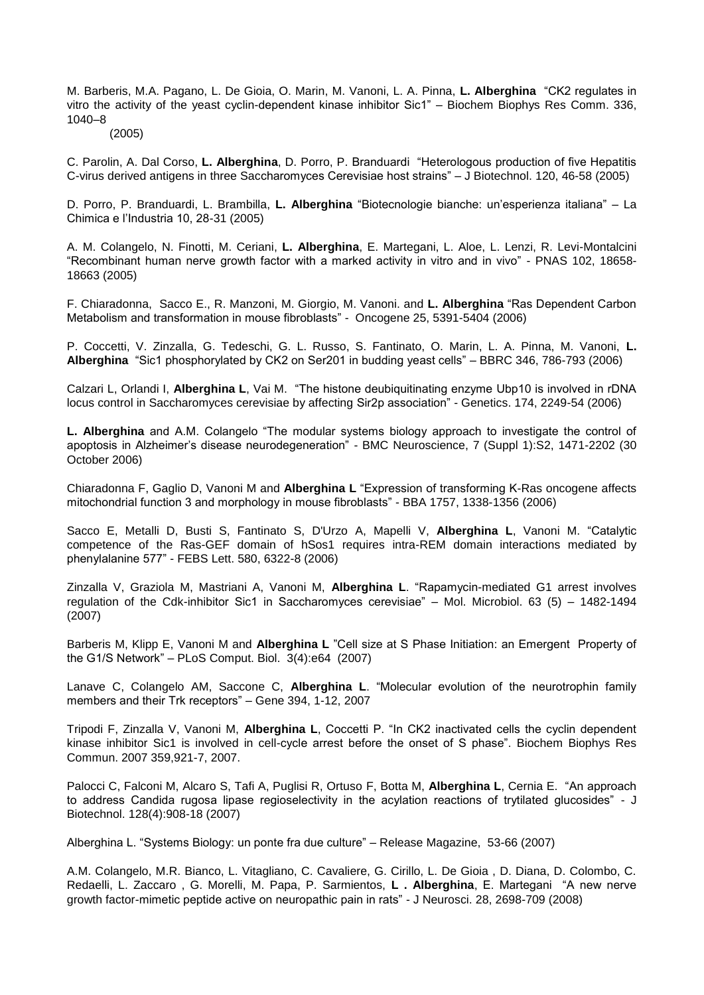M. Barberis, M.A. Pagano, L. De Gioia, O. Marin, M. Vanoni, L. A. Pinna, **L. Alberghina** "CK2 regulates in vitro the activity of the yeast cyclin-dependent kinase inhibitor Sic1" – Biochem Biophys Res Comm. 336, 1040–8

#### (2005)

C. Parolin, A. Dal Corso, **L. Alberghina**, D. Porro, P. Branduardi "Heterologous production of five Hepatitis C-virus derived antigens in three Saccharomyces Cerevisiae host strains" – J Biotechnol. 120, 46-58 (2005)

D. Porro, P. Branduardi, L. Brambilla, **L. Alberghina** "Biotecnologie bianche: un'esperienza italiana" – La Chimica e l'Industria 10, 28-31 (2005)

A. M. Colangelo, N. Finotti, M. Ceriani, **L. Alberghina**, E. Martegani, L. Aloe, L. Lenzi, R. Levi-Montalcini "Recombinant human nerve growth factor with a marked activity in vitro and in vivo" - PNAS 102, 18658- 18663 (2005)

F. Chiaradonna, Sacco E., R. Manzoni, M. Giorgio, M. Vanoni. and **L. Alberghina** "Ras Dependent Carbon Metabolism and transformation in mouse fibroblasts" - Oncogene 25, 5391-5404 (2006)

P. Coccetti, V. Zinzalla, G. Tedeschi, G. L. Russo, S. Fantinato, O. Marin, L. A. Pinna, M. Vanoni, **L. Alberghina** "Sic1 phosphorylated by CK2 on Ser201 in budding yeast cells" – BBRC 346, 786-793 (2006)

Calzari L, Orlandi I, **Alberghina L**, Vai M. "The histone deubiquitinating enzyme Ubp10 is involved in rDNA locus control in Saccharomyces cerevisiae by affecting Sir2p association" - Genetics. 174, 2249-54 (2006)

**L. Alberghina** and A.M. Colangelo "The modular systems biology approach to investigate the control of apoptosis in Alzheimer's disease neurodegeneration" - BMC Neuroscience, 7 (Suppl 1):S2, 1471-2202 (30 October 2006)

Chiaradonna F, Gaglio D, Vanoni M and **Alberghina L** "Expression of transforming K-Ras oncogene affects mitochondrial function 3 and morphology in mouse fibroblasts" - BBA 1757, 1338-1356 (2006)

Sacco E, Metalli D, Busti S, Fantinato S, D'Urzo A, Mapelli V, **Alberghina L**, Vanoni M. "Catalytic competence of the Ras-GEF domain of hSos1 requires intra-REM domain interactions mediated by phenylalanine 577" - FEBS Lett. 580, 6322-8 (2006)

Zinzalla V, Graziola M, Mastriani A, Vanoni M, **Alberghina L**. "Rapamycin-mediated G1 arrest involves regulation of the Cdk-inhibitor Sic1 in Saccharomyces cerevisiae" – Mol. Microbiol. 63 (5) – 1482-1494 (2007)

Barberis M, Klipp E, Vanoni M and **Alberghina L** "Cell size at S Phase Initiation: an Emergent Property of the G1/S Network" – PLoS Comput. Biol. 3(4):e64 (2007)

Lanave C, Colangelo AM, Saccone C, **Alberghina L**. "Molecular evolution of the neurotrophin family members and their Trk receptors" – Gene 394, 1-12, 2007

Tripodi F, Zinzalla V, Vanoni M, **Alberghina L**, Coccetti P. "In CK2 inactivated cells the cyclin dependent kinase inhibitor Sic1 is involved in cell-cycle arrest before the onset of S phase". Biochem Biophys Res Commun. 2007 359,921-7, 2007.

Palocci C, Falconi M, Alcaro S, Tafi A, Puglisi R, Ortuso F, Botta M, **Alberghina L**, Cernia E. "An approach to address Candida rugosa lipase regioselectivity in the acylation reactions of trytilated glucosides" - J Biotechnol. 128(4):908-18 (2007)

Alberghina L. "Systems Biology: un ponte fra due culture" – Release Magazine, 53-66 (2007)

A.M. Colangelo, M.R. Bianco, L. Vitagliano, C. Cavaliere, G. Cirillo, L. De Gioia , D. Diana, D. Colombo, C. Redaelli, L. Zaccaro , G. Morelli, M. Papa, P. Sarmientos, **L . Alberghina**, E. Martegani "A new nerve growth factor-mimetic peptide active on neuropathic pain in rats" - J Neurosci. 28, 2698-709 (2008)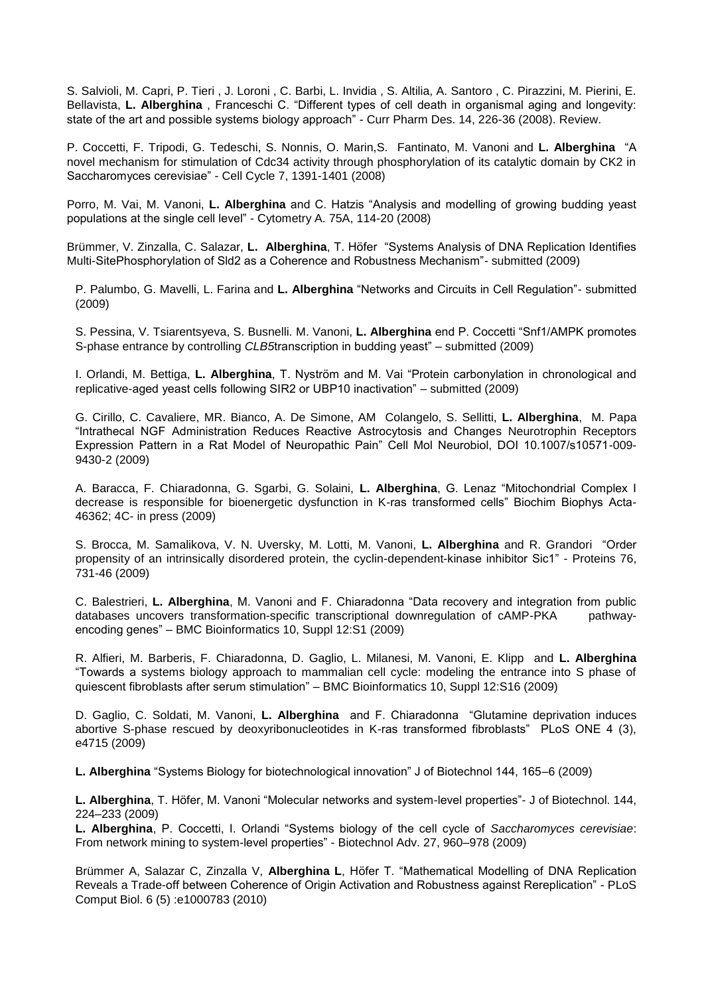S. Salvioli, M. Capri, P. Tieri , J. Loroni , C. Barbi, L. Invidia , S. Altilia, A. Santoro , C. Pirazzini, M. Pierini, E. Bellavista, **L. Alberghina** , Franceschi C. "Different types of cell death in organismal aging and longevity: state of the art and possible systems biology approach" - Curr Pharm Des. 14, 226-36 (2008). Review.

P. Coccetti, F. Tripodi, G. Tedeschi, S. Nonnis, O. Marin,S. Fantinato, M. Vanoni and **L. Alberghina** "A novel mechanism for stimulation of Cdc34 activity through phosphorylation of its catalytic domain by CK2 in Saccharomyces cerevisiae" - Cell Cycle 7, 1391-1401 (2008)

Porro, M. Vai, M. Vanoni, **L. Alberghina** and C. Hatzis "Analysis and modelling of growing budding yeast populations at the single cell level" - Cytometry A. 75A, 114-20 (2008)

Brümmer, V. Zinzalla, C. Salazar, **L. Alberghina**, T. Höfer "Systems Analysis of DNA Replication Identifies Multi-SitePhosphorylation of Sld2 as a Coherence and Robustness Mechanism"- submitted (2009)

P. Palumbo, G. Mavelli, L. Farina and **L. Alberghina** "Networks and Circuits in Cell Regulation"- submitted (2009)

S. Pessina, V. Tsiarentsyeva, S. Busnelli. M. Vanoni, **L. Alberghina** end P. Coccetti "Snf1/AMPK promotes S-phase entrance by controlling *CLB5*transcription in budding yeast" – submitted (2009)

I. Orlandi, M. Bettiga, **L. Alberghina**, T. Nyström and M. Vai "Protein carbonylation in chronological and replicative-aged yeast cells following SIR2 or UBP10 inactivation" – submitted (2009)

G. Cirillo, C. Cavaliere, MR. Bianco, A. De Simone, AM Colangelo, S. Sellitti, **L. Alberghina**, M. Papa "Intrathecal NGF Administration Reduces Reactive Astrocytosis and Changes Neurotrophin Receptors Expression Pattern in a Rat Model of Neuropathic Pain" Cell Mol Neurobiol, DOI 10.1007/s10571-009- 9430-2 (2009)

A. Baracca, F. Chiaradonna, G. Sgarbi, G. Solaini, **L. Alberghina**, G. Lenaz "Mitochondrial Complex I decrease is responsible for bioenergetic dysfunction in K-ras transformed cells" Biochim Biophys Acta-46362; 4C- in press (2009)

S. Brocca, M. Samalikova, V. N. Uversky, M. Lotti, M. Vanoni, **L. Alberghina** and R. Grandori "Order propensity of an intrinsically disordered protein, the cyclin-dependent-kinase inhibitor Sic1" - Proteins 76, 731-46 (2009)

C. Balestrieri, **L. Alberghina**, M. Vanoni and F. Chiaradonna "Data recovery and integration from public databases uncovers transformation-specific transcriptional downregulation of cAMP-PKA pathwayencoding genes" – BMC Bioinformatics 10, Suppl 12:S1 (2009)

R. Alfieri, M. Barberis, F. Chiaradonna, D. Gaglio, L. Milanesi, M. Vanoni, E. Klipp and **L. Alberghina** "Towards a systems biology approach to mammalian cell cycle: modeling the entrance into S phase of quiescent fibroblasts after serum stimulation" – BMC Bioinformatics 10, Suppl 12:S16 (2009)

D. Gaglio, C. Soldati, M. Vanoni, **L. Alberghina** and F. Chiaradonna "Glutamine deprivation induces abortive S-phase rescued by deoxyribonucleotides in K-ras transformed fibroblasts" PLoS ONE 4 (3), e4715 (2009)

**L. Alberghina** "Systems Biology for biotechnological innovation" J of Biotechnol 144, 165–6 (2009)

**L. Alberghina**, T. Höfer, M. Vanoni "Molecular networks and system-level properties"- J of Biotechnol. 144, 224–233 (2009)

**L. Alberghina**, P. Coccetti, I. Orlandi "Systems biology of the cell cycle of *Saccharomyces cerevisiae*: From network mining to system-level properties" - Biotechnol Adv. 27, 960–978 (2009)

Brümmer A, Salazar C, Zinzalla V, **Alberghina L**, Höfer T. "Mathematical Modelling of DNA Replication Reveals a Trade-off between Coherence of Origin Activation and Robustness against Rereplication" - PLoS Comput Biol. 6 (5) :e1000783 (2010)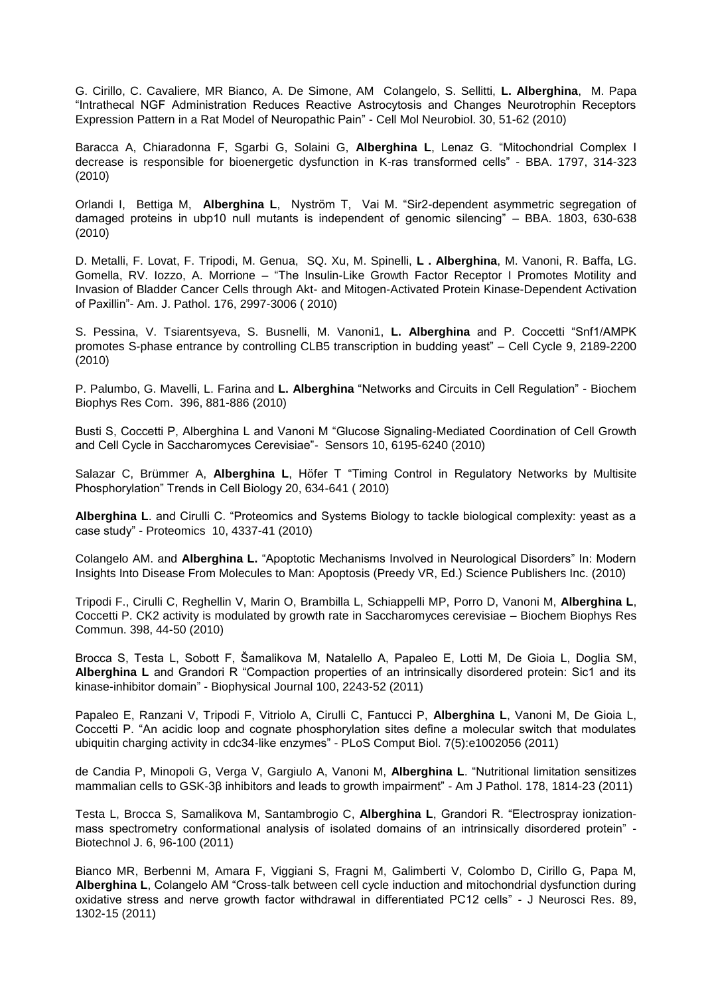G. Cirillo, C. Cavaliere, MR Bianco, A. De Simone, AM Colangelo, S. Sellitti, **L. Alberghina**, M. Papa "Intrathecal NGF Administration Reduces Reactive Astrocytosis and Changes Neurotrophin Receptors Expression Pattern in a Rat Model of Neuropathic Pain" - Cell Mol Neurobiol. 30, 51-62 (2010)

Baracca A, Chiaradonna F, Sgarbi G, Solaini G, **Alberghina L**, Lenaz G. "Mitochondrial Complex I decrease is responsible for bioenergetic dysfunction in K-ras transformed cells" - BBA. 1797, 314-323 (2010)

Orlandi I, Bettiga M, **Alberghina L**, Nyström T, Vai M. "Sir2-dependent asymmetric segregation of damaged proteins in ubp10 null mutants is independent of genomic silencing" – BBA. 1803, 630-638 (2010)

D. Metalli, F. Lovat, F. Tripodi, M. Genua, SQ. Xu, M. Spinelli, **L . Alberghina**, M. Vanoni, R. Baffa, LG. Gomella, RV. Iozzo, A. Morrione – "The Insulin-Like Growth Factor Receptor I Promotes Motility and Invasion of Bladder Cancer Cells through Akt- and Mitogen-Activated Protein Kinase-Dependent Activation of Paxillin"- Am. J. Pathol. 176, 2997-3006 ( 2010)

S. Pessina, V. Tsiarentsyeva, S. Busnelli, M. Vanoni1, **L. Alberghina** and P. Coccetti "Snf1/AMPK promotes S-phase entrance by controlling CLB5 transcription in budding yeast" – Cell Cycle 9, 2189-2200 (2010)

P. Palumbo, G. Mavelli, L. Farina and **L. Alberghina** "Networks and Circuits in Cell Regulation" - Biochem Biophys Res Com. 396, 881-886 (2010)

Busti S, Coccetti P, Alberghina L and Vanoni M "Glucose Signaling-Mediated Coordination of Cell Growth and Cell Cycle in Saccharomyces Cerevisiae"- Sensors 10, 6195-6240 (2010)

Salazar C, Brümmer A, **Alberghina L**, Höfer T "Timing Control in Regulatory Networks by Multisite Phosphorylation" Trends in Cell Biology 20, 634-641 ( 2010)

**Alberghina L**. and Cirulli C. "Proteomics and Systems Biology to tackle biological complexity: yeast as a case study" - Proteomics 10, 4337-41 (2010)

Colangelo AM. and **Alberghina L.** "Apoptotic Mechanisms Involved in Neurological Disorders" In: Modern Insights Into Disease From Molecules to Man: Apoptosis (Preedy VR, Ed.) Science Publishers Inc. (2010)

Tripodi F., Cirulli C, Reghellin V, Marin O, Brambilla L, Schiappelli MP, Porro D, Vanoni M, **Alberghina L**, Coccetti P. CK2 activity is modulated by growth rate in Saccharomyces cerevisiae – Biochem Biophys Res Commun. 398, 44-50 (2010)

Brocca S, Testa L, Sobott F, Šamalikova M, Natalello A, Papaleo E, Lotti M, De Gioia L, Doglia SM, **Alberghina L** and Grandori R "Compaction properties of an intrinsically disordered protein: Sic1 and its kinase-inhibitor domain" - Biophysical Journal 100, 2243-52 (2011)

Papaleo E, Ranzani V, Tripodi F, Vitriolo A, Cirulli C, Fantucci P, **Alberghina L**, Vanoni M, De Gioia L, Coccetti P. "An acidic loop and cognate phosphorylation sites define a molecular switch that modulates ubiquitin charging activity in cdc34-like enzymes" - PLoS Comput Biol. 7(5):e1002056 (2011)

de Candia P, Minopoli G, Verga V, Gargiulo A, Vanoni M, **Alberghina L**. "Nutritional limitation sensitizes mammalian cells to GSK-3β inhibitors and leads to growth impairment" - Am J Pathol. 178, 1814-23 (2011)

Testa L, Brocca S, Samalikova M, Santambrogio C, **Alberghina L**, Grandori R. "Electrospray ionizationmass spectrometry conformational analysis of isolated domains of an intrinsically disordered protein" - Biotechnol J. 6, 96-100 (2011)

Bianco MR, Berbenni M, Amara F, Viggiani S, Fragni M, Galimberti V, Colombo D, Cirillo G, Papa M, **Alberghina L**, Colangelo AM "Cross-talk between cell cycle induction and mitochondrial dysfunction during oxidative stress and nerve growth factor withdrawal in differentiated PC12 cells" - J Neurosci Res. 89, 1302-15 (2011)